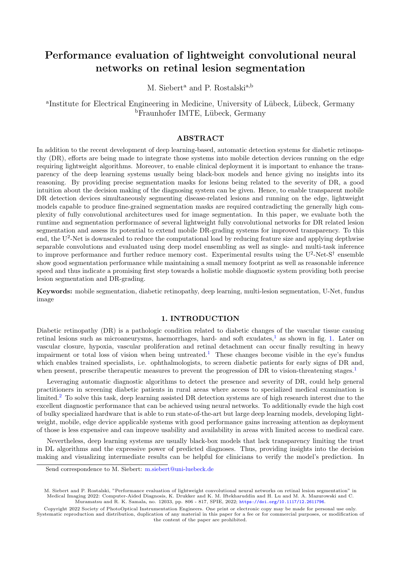# Performance evaluation of lightweight convolutional neural networks on retinal lesion segmentation

M. Siebert<sup>a</sup> and P. Rostalski<sup>a,b</sup>

<sup>a</sup>Institute for Electrical Engineering in Medicine, University of Lübeck, Lübeck, Germany <sup>b</sup>Fraunhofer IMTE, Lübeck, Germany

## ABSTRACT

In addition to the recent development of deep learning-based, automatic detection systems for diabetic retinopathy (DR), efforts are being made to integrate those systems into mobile detection devices running on the edge requiring lightweight algorithms. Moreover, to enable clinical deployment it is important to enhance the transparency of the deep learning systems usually being black-box models and hence giving no insights into its reasoning. By providing precise segmentation masks for lesions being related to the severity of DR, a good intuition about the decision making of the diagnosing system can be given. Hence, to enable transparent mobile DR detection devices simultaneously segmenting disease-related lesions and running on the edge, lightweight models capable to produce fine-grained segmentation masks are required contradicting the generally high complexity of fully convolutional architectures used for image segmentation. In this paper, we evaluate both the runtime and segmentation performance of several lightweight fully convolutional networks for DR related lesion segmentation and assess its potential to extend mobile DR-grading systems for improved transparency. To this end, the U<sup>2</sup>-Net is downscaled to reduce the computational load by reducing feature size and applying depthwise separable convolutions and evaluated using deep model ensembling as well as single- and multi-task inference to improve performance and further reduce memory cost. Experimental results using the  $U^2$ -Net-S<sup>†</sup> ensemble show good segmentation performance while maintaining a small memory footprint as well as reasonable inference speed and thus indicate a promising first step towards a holistic mobile diagnostic system providing both precise lesion segmentation and DR-grading.

Keywords: mobile segmentation, diabetic retinopathy, deep learning, multi-lesion segmentation, U-Net, fundus image

### 1. INTRODUCTION

Diabetic retinopathy (DR) is a pathologic condition related to diabetic changes of the vascular tissue causing retinal lesions such as microaneurysms, haemorrhages, hard- and soft exudates, $\frac{1}{1}$  $\frac{1}{1}$  $\frac{1}{1}$  as shown in fig. [1.](#page-1-0) Later on vascular closure, hypoxia, vascular proliferation and retinal detachment can occur finally resulting in heavy impairment or total loss of vision when being untreated.[1](#page-8-0) These changes become visible in the eye's fundus which enables trained specialists, i.e. ophthalmologists, to screen diabetic patients for early signs of DR and, when present, prescribe therapeutic measures to prevent the progression of DR to vision-threatening stages.<sup>[1](#page-8-0)</sup>

Leveraging automatic diagnostic algorithms to detect the presence and severity of DR, could help general practitioners in screening diabetic patients in rural areas where access to specialized medical examination is limited.<sup>[2](#page-8-1)</sup> To solve this task, deep learning assisted DR detection systems are of high research interest due to the excellent diagnostic performance that can be achieved using neural networks. To additionally evade the high cost of bulky specialized hardware that is able to run state-of-the-art but large deep learning models, developing lightweight, mobile, edge device applicable systems with good performance gains increasing attention as deployment of those is less expensive and can improve usability and availability in areas with limited access to medical care.

Nevertheless, deep learning systems are usually black-box models that lack transparency limiting the trust in DL algorithms and the expressive power of predicted diagnoses. Thus, providing insights into the decision making and visualizing intermediate results can be helpful for clinicians to verify the model's prediction. In

Send correspondence to M. Siebert: [m.siebert@uni-luebeck.de](mailto:m.siebert@uni-luebeck.de)

M. Siebert and P. Rostalski, "Performance evaluation of lightweight convolutional neural networks on retinal lesion segmentation" in Medical Imaging 2022: Computer-Aided Diagnosis, K. Drukker and K. M. Iftekharuddin and H. Lu and M. A. Mazurowski and C. Muramatsu and R. K. Samala, no. 12033, pp. 806 - 817, SPIE, 2022; <https://doi.org/10.1117/12.2611796>.

Copyright 2022 Society of PhotoOptical Instrumentation Engineers. One print or electronic copy may be made for personal use only. Systematic reproduction and distribution, duplication of any material in this paper for a fee or for commercial purposes, or modification of the content of the paper are prohibited.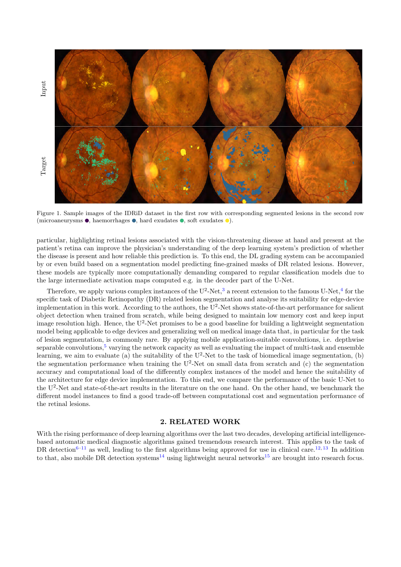

<span id="page-1-0"></span>Figure 1. Sample images of the IDRiD dataset in the first row with corresponding segmented lesions in the second row (microaneurysms  $\bullet$ , haemorrhages  $\bullet$ , hard exudates  $\bullet$ , soft exudates  $\bullet$ ).

particular, highlighting retinal lesions associated with the vision-threatening disease at hand and present at the patient's retina can improve the physician's understanding of the deep learning system's prediction of whether the disease is present and how reliable this prediction is. To this end, the DL grading system can be accompanied by or even build based on a segmentation model predicting fine-grained masks of DR related lesions. However, these models are typically more computationally demanding compared to regular classification models due to the large intermediate activation maps computed e.g. in the decoder part of the U-Net.

Therefore, we apply various complex instances of the  $U^2$ -Net,<sup>[3](#page-8-2)</sup> a recent extension to the famous  $U$ -Net,<sup>[4](#page-8-3)</sup> for the specific task of Diabetic Retinopathy (DR) related lesion segmentation and analyse its suitability for edge-device implementation in this work. According to the authors, the U<sup>2</sup>-Net shows state-of-the-art performance for salient object detection when trained from scratch, while being designed to maintain low memory cost and keep input image resolution high. Hence, the U<sup>2</sup>-Net promises to be a good baseline for building a lightweight segmentation model being applicable to edge devices and generalizing well on medical image data that, in particular for the task of lesion segmentation, is commonly rare. By applying mobile application-suitable convolutions, i.e. depthwise separable convolutions, $5$  varying the network capacity as well as evaluating the impact of multi-task and ensemble learning, we aim to evaluate (a) the suitability of the  $U^2$ -Net to the task of biomedical image segmentation, (b) the segmentation performance when training the  $U^2$ -Net on small data from scratch and (c) the segmentation accuracy and computational load of the differently complex instances of the model and hence the suitability of the architecture for edge device implementation. To this end, we compare the performance of the basic U-Net to the U<sup>2</sup>-Net and state-of-the-art results in the literature on the one hand. On the other hand, we benchmark the different model instances to find a good trade-off between computational cost and segmentation performance of the retinal lesions.

#### 2. RELATED WORK

With the rising performance of deep learning algorithms over the last two decades, developing artificial intelligencebased automatic medical diagnostic algorithms gained tremendous research interest. This applies to the task of DR detection<sup>[6–](#page-8-5)[11](#page-8-6)</sup> as well, leading to the first algorithms being approved for use in clinical care.<sup>[12,](#page-8-7) [13](#page-9-0)</sup> In addition to that, also mobile DR detection systems<sup>[14](#page-9-1)</sup> using lightweight neural networks<sup>[15](#page-9-2)</sup> are brought into research focus.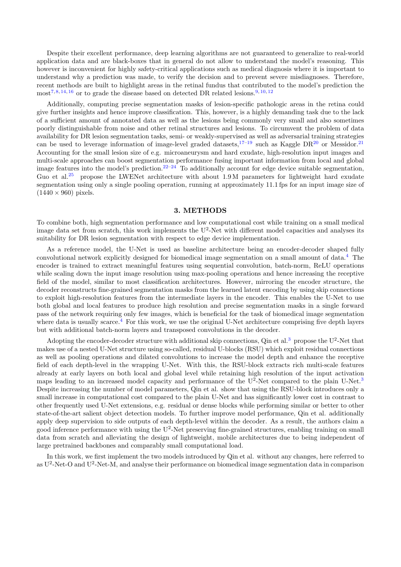Despite their excellent performance, deep learning algorithms are not guaranteed to generalize to real-world application data and are black-boxes that in general do not allow to understand the model's reasoning. This however is inconvenient for highly safety-critical applications such as medical diagnosis where it is important to understand why a prediction was made, to verify the decision and to prevent severe misdiagnoses. Therefore, recent methods are built to highlight areas in the retinal fundus that contributed to the model's prediction the most<sup>[7,](#page-8-8)[8,](#page-8-9) [14,](#page-9-1) [16](#page-9-3)</sup> or to grade the disease based on detected DR related lesions.<sup>[9,](#page-8-10) [10,](#page-8-11) [12](#page-8-7)</sup>

Additionally, computing precise segmentation masks of lesion-specific pathologic areas in the retina could give further insights and hence improve classification. This, however, is a highly demanding task due to the lack of a sufficient amount of annotated data as well as the lesions being commonly very small and also sometimes poorly distinguishable from noise and other retinal structures and lesions. To circumvent the problem of data availability for DR lesion segmentation tasks, semi- or weakly-supervised as well as adversarial training strategies can be used to leverage information of image-level graded datasets,<sup>[17–](#page-9-4)[19](#page-9-5)</sup> such as Kaggle DR<sup>[20](#page-9-6)</sup> or Messidor.<sup>[21](#page-9-7)</sup> Accounting for the small lesion size of e.g. microaneurysm and hard exudate, high-resolution input images and multi-scale approaches can boost segmentation performance fusing important information from local and global image features into the model's prediction.<sup>[22–](#page-9-8)[24](#page-9-9)</sup> To additionally account for edge device suitable segmentation, Guo et al.<sup>[25](#page-9-10)</sup> propose the LWENet architecture with about  $1.9 M$  parameters for lightweight hard exudate segmentation using only a single pooling operation, running at approximately 11.1 fps for an input image size of  $(1440 \times 960)$  pixels.

#### 3. METHODS

To combine both, high segmentation performance and low computational cost while training on a small medical image data set from scratch, this work implements the  $U^2$ -Net with different model capacities and analyses its suitability for DR lesion segmentation with respect to edge device implementation.

As a reference model, the U-Net is used as baseline architecture being an encoder-decoder shaped fully convolutional network explicitly designed for biomedical image segmentation on a small amount of data.[4](#page-8-3) The encoder is trained to extract meaningful features using sequential convolution, batch-norm, ReLU operations while scaling down the input image resolution using max-pooling operations and hence increasing the receptive field of the model, similar to most classification architectures. However, mirroring the encoder structure, the decoder reconstructs fine-grained segmentation masks from the learned latent encoding by using skip connections to exploit high-resolution features from the intermediate layers in the encoder. This enables the U-Net to use both global and local features to produce high resolution and precise segmentation masks in a single forward pass of the network requiring only few images, which is beneficial for the task of biomedical image segmentation where data is usually scarce.<sup>[4](#page-8-3)</sup> For this work, we use the original U-Net architecture comprising five depth layers but with additional batch-norm layers and transposed convolutions in the decoder.

Adopting the encoder-decoder structure with additional skip connections, Qin et al.<sup>[3](#page-8-2)</sup> propose the U<sup>2</sup>-Net that makes use of a nested U-Net structure using so-called, residual U-blocks (RSU) which exploit residual connections as well as pooling operations and dilated convolutions to increase the model depth and enhance the receptive field of each depth-level in the wrapping U-Net. With this, the RSU-block extracts rich multi-scale features already at early layers on both local and global level while retaining high resolution of the input activation maps leading to an increased model capacity and performance of the U<sup>2</sup>-Net compared to the plain U-Net.<sup>[3](#page-8-2)</sup> Despite increasing the number of model parameters, Qin et al. show that using the RSU-block introduces only a small increase in computational cost compared to the plain U-Net and has significantly lower cost in contrast to other frequently used U-Net extensions, e.g. residual or dense blocks while performing similar or better to other state-of-the-art salient object detection models. To further improve model performance, Qin et al. additionally apply deep supervision to side outputs of each depth-level within the decoder. As a result, the authors claim a good inference performance with using the  $U^2$ -Net preserving fine-grained structures, enabling training on small data from scratch and alleviating the design of lightweight, mobile architectures due to being independent of large pretrained backbones and comparably small computational load.

In this work, we first implement the two models introduced by Qin et al. without any changes, here referred to as  $U^2$ -Net-O and  $U^2$ -Net-M, and analyse their performance on biomedical image segmentation data in comparison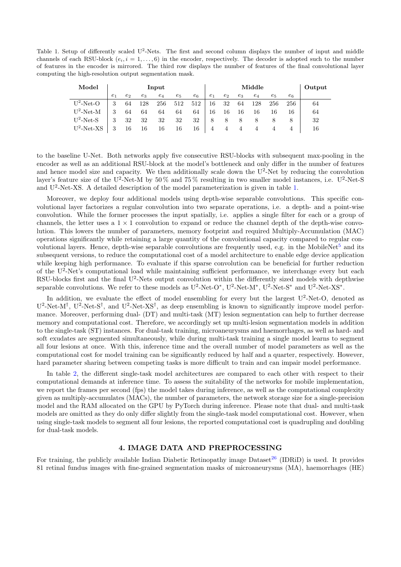<span id="page-3-0"></span>Table 1. Setup of differently scaled  $U^2$ -Nets. The first and second column displays the number of input and middle channels of each RSU-block  $(e_i, i = 1, \ldots, 6)$  in the encoder, respectively. The decoder is adopted such to the number of features in the encoder is mirrored. The third row displays the number of features of the final convolutional layer computing the high-resolution output segmentation mask.

| Model         | Input          |                |       |       | Middle |       |       |       | Output |       |       |       |    |
|---------------|----------------|----------------|-------|-------|--------|-------|-------|-------|--------|-------|-------|-------|----|
|               | e <sub>1</sub> | e <sub>2</sub> | $e_3$ | $e_4$ | $e_5$  | $e_6$ | $e_1$ | $e_2$ | $e_3$  | $e_4$ | $e_5$ | $e_6$ |    |
| $U^2$ -Net-O  | 3              | 64             | 128   | 256   | 512    | 512   | 16    | 32    | 64     | 128   | 256   | 256   | 64 |
| $U^2$ -Net-M  |                | 64             | 64    | 64    | 64     | 64    | 16    | 16    | 16     | 16    | 16    | 16    | 64 |
| $U^2$ -Net-S  | 3              | 32             | 32    | 32    | 32     | 32    | 8     | 8     | 8      |       | 8     |       | 32 |
| $U^2$ -Net-XS | 3              | 16             | 16    | 16    | 16     | 16    | 4     |       |        | 4     |       |       | 16 |

to the baseline U-Net. Both networks apply five consecutive RSU-blocks with subsequent max-pooling in the encoder as well as an additional RSU-block at the model's bottleneck and only differ in the number of features and hence model size and capacity. We then additionally scale down the U<sup>2</sup>-Net by reducing the convolution layer's feature size of the U<sup>2</sup>-Net-M by 50% and 75% resulting in two smaller model instances, i.e. U<sup>2</sup>-Net-S and U<sup>2</sup>-Net-XS. A detailed description of the model parameterization is given in table [1.](#page-3-0)

Moreover, we deploy four additional models using depth-wise separable convolutions. This specific convolutional layer factorizes a regular convolution into two separate operations, i.e. a depth- and a point-wise convolution. While the former processes the input spatially, i.e. applies a single filter for each or a group of channels, the letter uses a  $1 \times 1$  convolution to expand or reduce the channel depth of the depth-wise convolution. This lowers the number of parameters, memory footprint and required Multiply-Accumulation (MAC) operations significantly while retaining a large quantity of the convolutional capacity compared to regular con-volutional layers. Hence, depth-wise separable convolutions are frequently used, e.g. in the MobileNet<sup>[5](#page-8-4)</sup> and its subsequent versions, to reduce the computational cost of a model architecture to enable edge device application while keeping high performance. To evaluate if this sparse convolution can be beneficial for further reduction of the U<sup>2</sup>-Net's computational load while maintaining sufficient performance, we interchange every but each RSU-blocks first and the final U<sup>2</sup>-Nets output convolution within the differently sized models with depthwise separable convolutions. We refer to these models as  $U^2$ -Net-O<sup>\*</sup>,  $U^2$ -Net-M<sup>\*</sup>,  $U^2$ -Net-S<sup>\*</sup> and  $U^2$ -Net-XS<sup>\*</sup>.

In addition, we evaluate the effect of model ensembling for every but the largest  $U^2$ -Net-O, denoted as  $U^2$ -Net-M<sup>†</sup>,  $U^2$ -Net-S<sup>†</sup>, and  $U^2$ -Net-XS<sup>†</sup>, as deep ensembling is known to significantly improve model performance. Moreover, performing dual- (DT) and multi-task (MT) lesion segmentation can help to further decrease memory and computational cost. Therefore, we accordingly set up multi-lesion segmentation models in addition to the single-task (ST) instances. For dual-task training, microaneurysms and haemorrhages, as well as hard- and soft exudates are segmented simultaneously, while during multi-task training a single model learns to segment all four lesions at once. With this, inference time and the overall number of model parameters as well as the computational cost for model training can be significantly reduced by half and a quarter, respectively. However, hard parameter sharing between competing tasks is more difficult to train and can impair model performance.

In table [2,](#page-4-0) the different single-task model architectures are compared to each other with respect to their computational demands at inference time. To assess the suitability of the networks for mobile implementation, we report the frames per second (fps) the model takes during inference, as well as the computational complexity given as multiply-accumulates (MACs), the number of parameters, the network storage size for a single-precision model and the RAM allocated on the GPU by PyTorch during inference. Please note that dual- and multi-task models are omitted as they do only differ slightly from the single-task model computational cost. However, when using single-task models to segment all four lesions, the reported computational cost is quadrupling and doubling for dual-task models.

# 4. IMAGE DATA AND PREPROCESSING

For training, the publicly available Indian Diabetic Retinopathy image Dataset<sup>[26](#page-9-11)</sup> (IDRiD) is used. It provides 81 retinal fundus images with fine-grained segmentation masks of microaneurysms (MA), haemorrhages (HE)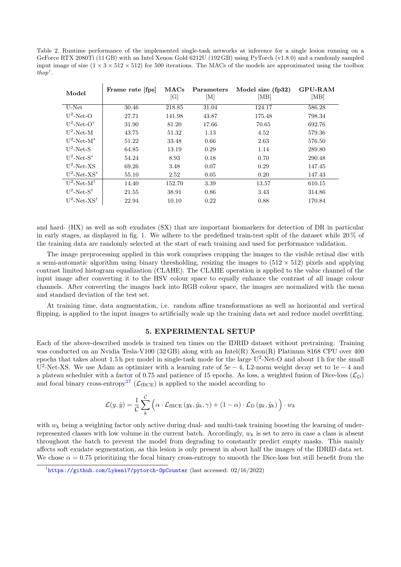<span id="page-4-0"></span>Table 2. Runtime performance of the implemented single-task networks at inference for a single lesion running on a GeForce RTX 2080Ti (11 GB) with an Intel Xenon Gold 6212U (192 GB) using PyTorch (v1.8.0) and a randomly sampled input image of size  $(1 \times 3 \times 512 \times 512)$  for 500 iterations. The MACs of the models are approximated using the toolbox thop[†](#page-4-1) .

| Model                      | Frame rate [fps] | MACs<br>[G] | Parameters<br>$[\mathrm{M}]$ | Model size (fp32)<br> MB | <b>GPU-RAM</b><br>[MB] |
|----------------------------|------------------|-------------|------------------------------|--------------------------|------------------------|
| U-Net                      | 30.46            | 218.85      | 31.04                        | 124.17                   | 586.28                 |
| $U^2$ -Net-O               | 27.71            | 141.98      | 43.87                        | 175.48                   | 798.34                 |
| $U^2$ -Net-O*              | 31.90            | 81.20       | 17.66                        | 70.65                    | 692.76                 |
| $U^2$ -Net-M               | 43.75            | 51.32       | 1.13                         | 4.52                     | 579.36                 |
| $U^2$ -Net-M <sup>*</sup>  | 51.22            | 33.48       | 0.66                         | 2.63                     | 576.50                 |
| $U^2$ -Net-S               | 64.85            | 13.19       | 0.29                         | 1.14                     | 289.80                 |
| $U^2$ -Net-S <sup>*</sup>  | 54.24            | 8.93        | 0.18                         | 0.70                     | 290.48                 |
| $U^2$ -Net-XS              | 69.26            | 3.48        | 0.07                         | 0.29                     | 147.45                 |
| $U^2$ -Net-XS <sup>*</sup> | 55.10            | 2.52        | 0.05                         | 0.20                     | 147.43                 |
| $U^2$ -Net-M <sup>†</sup>  | 14.40            | 152.70      | 3.39                         | 13.57                    | 610.15                 |
| $U^2$ -Net-S <sup>†</sup>  | 21.55            | 38.91       | 0.86                         | 3.43                     | 314.86                 |
| $U^2$ -Net-XS <sup>†</sup> | 22.94            | 10.10       | 0.22                         | 0.88                     | 170.84                 |

and hard- (HX) as well as soft exudates (SX) that are important biomarkers for detection of DR in particular in early stages, as displayed in fig. [1.](#page-1-0) We adhere to the predefined train-test split of the dataset while  $20\%$  of the training data are randomly selected at the start of each training and used for performance validation.

The image preprocessing applied in this work comprises cropping the images to the visible retinal disc with a semi-automatic algorithm using binary thresholding, resizing the images to  $(512 \times 512)$  pixels and applying contrast limited histogram equalization (CLAHE). The CLAHE operation is applied to the value channel of the input image after converting it to the HSV colour space to equally enhance the contrast of all image colour channels. After converting the images back into RGB colour space, the images are normalized with the mean and standard deviation of the test set.

At training time, data augmentation, i.e. random affine transformations as well as horizontal and vertical flipping, is applied to the input images to artificially scale up the training data set and reduce model overfitting.

## 5. EXPERIMENTAL SETUP

Each of the above-described models is trained ten times on the IDRID dataset without pretraining. Training was conducted on an Nvidia Tesla-V100 (32 GB) along with an Intel(R) Xeon(R) Platinum 8168 CPU over 400 epochs that takes about 1.5 h per model in single-task mode for the large  $U^2$ -Net-O and about 1 h for the small U<sup>2</sup>-Net-XS. We use Adam as optimizer with a learning rate of  $5e - 4$ , L2-norm weight decay set to 1e – 4 and a plateau scheduler with a factor of 0.75 and patience of 15 epochs. As loss, a weighted fusion of Dice-loss  $(\mathcal{L}_D)$ and focal binary cross-entropy<sup>[27](#page-9-12)</sup> ( $\mathcal{L}_{\text{fBCE}}$ ) is applied to the model according to

$$
\mathcal{L}(y, \hat{y}) = \frac{1}{\mathcal{C}} \sum_{k}^{C} \left( \alpha \cdot \mathcal{L}_{\text{fBCE}}(y_k, \hat{y}_k, \gamma) + (1 - \alpha) \cdot \mathcal{L}_{\text{D}}(y_k, \hat{y}_k) \right) \cdot w_k
$$

with  $w_k$  being a weighting factor only active during dual- and multi-task training boosting the learning of underrepresented classes with low volume in the current batch. Accordingly,  $w_k$  is set to zero in case a class is absent throughout the batch to prevent the model from degrading to constantly predict empty masks. This mainly affects soft exudate segmentation, as this lesion is only present in about half the images of the IDRID data set. We chose  $\alpha = 0.75$  prioritizing the focal binary cross-entropy to smooth the Dice-loss but still benefit from the

<span id="page-4-1"></span><sup>†</sup> <https://github.com/Lyken17/pytorch-OpCounter> (last accessed: 02/16/2022)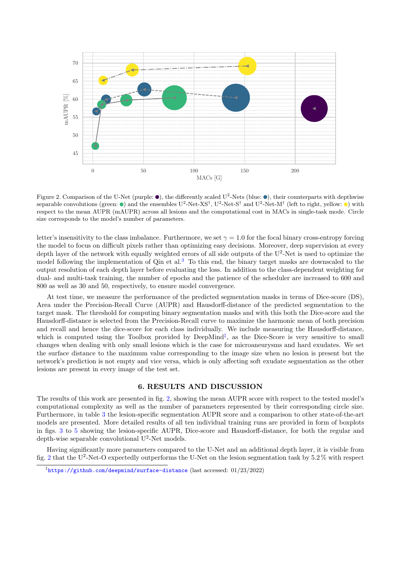

<span id="page-5-1"></span>Figure 2. Comparison of the U-Net (purple:  $\bullet$ ), the differently scaled U<sup>2</sup>-Nets (blue:  $\bullet$ ), their counterparts with depthwise separable convolutions (green:  $\bullet$ ) and the ensembles U<sup>2</sup>-Net-XS<sup>†</sup>, U<sup>2</sup>-Net-S<sup>†</sup> and U<sup>2</sup>-Net-M<sup>†</sup> (left to right, yellow:  $\bullet$ ) with respect to the mean AUPR (mAUPR) across all lesions and the computational cost in MACs in single-task mode. Circle size corresponds to the model's number of parameters.

letter's insensitivity to the class imbalance. Furthermore, we set  $\gamma = 1.0$  for the focal binary cross-entropy forcing the model to focus on difficult pixels rather than optimizing easy decisions. Moreover, deep supervision at every depth layer of the network with equally weighted errors of all side outputs of the U<sup>2</sup>-Net is used to optimize the model following the implementation of Qin et al.<sup>[3](#page-8-2)</sup> To this end, the binary target masks are downscaled to the output resolution of each depth layer before evaluating the loss. In addition to the class-dependent weighting for dual- and multi-task training, the number of epochs and the patience of the scheduler are increased to 600 and 800 as well as 30 and 50, respectively, to ensure model convergence.

At test time, we measure the performance of the predicted segmentation masks in terms of Dice-score (DS), Area under the Precision-Recall Curve (AUPR) and Hausdorff-distance of the predicted segmentation to the target mask. The threshold for computing binary segmentation masks and with this both the Dice-score and the Hausdorff-distance is selected from the Precision-Recall curve to maximize the harmonic mean of both precision and recall and hence the dice-score for each class individually. We include measuring the Hausdorff-distance, which is computed using the Toolbox provided by  $Deep Mind^{\ddagger}$ , as the Dice-Score is very sensitive to small changes when dealing with only small lesions which is the case for microaneurysms and hard exudates. We set the surface distance to the maximum value corresponding to the image size when no lesion is present but the network's prediction is not empty and vice versa, which is only affecting soft exudate segmentation as the other lesions are present in every image of the test set.

## 6. RESULTS AND DISCUSSION

The results of this work are presented in fig. [2,](#page-5-1) showing the mean AUPR score with respect to the tested model's computational complexity as well as the number of parameters represented by their corresponding circle size. Furthermore, in table [3](#page-6-0) the lesion-specific segmentation AUPR score and a comparison to other state-of-the-art models are presented. More detailed results of all ten individual training runs are provided in form of boxplots in figs. [3](#page-10-0) to [5](#page-11-0) showing the lesion-specific AUPR, Dice-score and Hausdorff-distance, for both the regular and depth-wise separable convolutional U<sup>2</sup>-Net models.

Having significantly more parameters compared to the U-Net and an additional depth layer, it is visible from fig. [2](#page-5-1) that the U<sup>2</sup>-Net-O expectedly outperforms the U-Net on the lesion segmentation task by 5.2% with respect

<span id="page-5-0"></span> $^{\ddagger}$ <https://github.com/deepmind/surface-distance> (last accessed:  $01/23/2022)$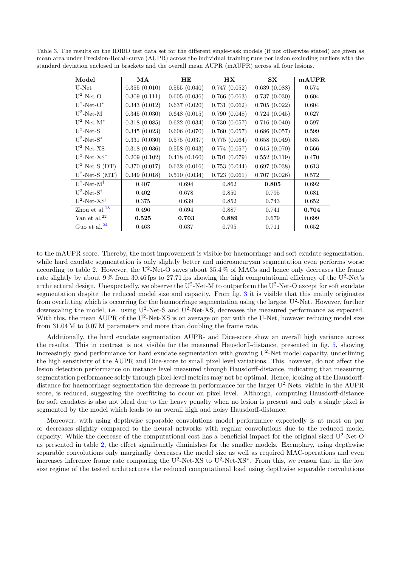<span id="page-6-0"></span>Table 3. The results on the IDRiD test data set for the different single-task models (if not otherwise stated) are given as mean area under Precision-Recall-curve (AUPR) across the individual training runs per lesion excluding outliers with the standard deviation enclosed in brackets and the overall mean AUPR (mAUPR) across all four lesions.

| Model                      | MA           | <b>HE</b>    | <b>HX</b>    | $S_{\mathbf{X}}$ | mAUPR |
|----------------------------|--------------|--------------|--------------|------------------|-------|
| U-Net                      | 0.355(0.010) | 0.555(0.040) | 0.747(0.052) | 0.639(0.088)     | 0.574 |
| $U^2$ -Net-O               | 0.309(0.111) | 0.605(0.036) | 0.766(0.063) | 0.737(0.030)     | 0.604 |
| $U^2$ -Net-O*              | 0.343(0.012) | 0.637(0.020) | 0.731(0.062) | 0.705(0.022)     | 0.604 |
| $U^2$ -Net-M               | 0.345(0.030) | 0.648(0.015) | 0.790(0.048) | 0.724(0.045)     | 0.627 |
| $U^2$ -Net-M <sup>*</sup>  | 0.318(0.085) | 0.622(0.034) | 0.730(0.057) | 0.716(0.040)     | 0.597 |
| $U^2$ -Net-S               | 0.345(0.023) | 0.606(0.070) | 0.760(0.057) | 0.686(0.057)     | 0.599 |
| $U^2$ -Net-S <sup>*</sup>  | 0.331(0.030) | 0.575(0.037) | 0.775(0.064) | 0.658(0.049)     | 0.585 |
| $U^2$ -Net-XS              | 0.318(0.036) | 0.558(0.043) | 0.774(0.057) | 0.615(0.070)     | 0.566 |
| $U^2$ -Net-XS <sup>*</sup> | 0.209(0.102) | 0.418(0.160) | 0.701(0.079) | 0.552(0.119)     | 0.470 |
| $U^2$ -Net-S (DT)          | 0.370(0.017) | 0.632(0.016) | 0.753(0.044) | 0.697(0.038)     | 0.613 |
| $U^2$ -Net-S (MT)          | 0.349(0.018) | 0.510(0.034) | 0.723(0.061) | 0.707(0.026)     | 0.572 |
| $U^2$ -Net-M <sup>†</sup>  | 0.407        | 0.694        | 0.862        | 0.805            | 0.692 |
| $U^2$ -Net-S <sup>†</sup>  | 0.402        | 0.678        | 0.850        | 0.795            | 0.681 |
| $U^2$ -Net-XS <sup>†</sup> | 0.375        | 0.639        | 0.852        | 0.743            | 0.652 |
| Zhou et al. $^{18}$        | 0.496        | 0.694        | 0.887        | 0.741            | 0.704 |
| Yan et al. $^{22}$         | 0.525        | 0.703        | 0.889        | 0.679            | 0.699 |
| Guo et al. $^{24}$         | 0.463        | 0.637        | 0.795        | 0.711            | 0.652 |

to the mAUPR score. Thereby, the most improvement is visible for haemorrhage and soft exudate segmentation, while hard exudate segmentation is only slightly better and microaneurysm segmentation even performs worse according to table [2.](#page-4-0) However, the U<sup>2</sup>-Net-O saves about  $35.4\%$  of MACs and hence only decreases the frame rate slightly by about  $9\%$  from 30.46 fps to 27.71 fps showing the high computational efficiency of the U<sup>2</sup>-Net's architectural design. Unexpectedly, we observe the  $U^2$ -Net-M to outperform the  $U^2$ -Net-O except for soft exudate segmentation despite the reduced model size and capacity. From fig. [3](#page-10-0) it is visible that this mainly originates from overfitting which is occurring for the haemorrhage segmentation using the largest  $U^2$ -Net. However, further downscaling the model, i.e. using  $U^2$ -Net-S and  $U^2$ -Net-XS, decreases the measured performance as expected. With this, the mean AUPR of the  $U^2$ -Net-XS is on average on par with the U-Net, however reducing model size from 31.04 M to 0.07 M parameters and more than doubling the frame rate.

Additionally, the hard exudate segmentation AUPR- and Dice-score show an overall high variance across the results. This in contrast is not visible for the measured Hausdorff-distance, presented in fig. [5,](#page-11-0) showing increasingly good performance for hard exudate segmentation with growing  $U^2$ -Net model capacity, underlining the high sensitivity of the AUPR and Dice-score to small pixel level variations. This, however, do not affect the lesion detection performance on instance level measured through Hausdorff-distance, indicating that measuring segmentation performance solely through pixel-level metrics may not be optimal. Hence, looking at the Hausdorffdistance for haemorrhage segmentation the decrease in performance for the larger U<sup>2</sup>-Nets, visible in the AUPR score, is reduced, suggesting the overfitting to occur on pixel level. Although, computing Hausdorff-distance for soft exudates is also not ideal due to the heavy penalty when no lesion is present and only a single pixel is segmented by the model which leads to an overall high and noisy Hausdorff-distance.

Moreover, with using depthwise separable convolutions model performance expectedly is at most on par or decreases slightly compared to the neural networks with regular convolutions due to the reduced model capacity. While the decrease of the computational cost has a beneficial impact for the original sized U<sup>2</sup>-Net-O as presented in table [2,](#page-4-0) the effect significantly diminishes for the smaller models. Exemplary, using depthwise separable convolutions only marginally decreases the model size as well as required MAC-operations and even increases inference frame rate comparing the U<sup>2</sup>-Net-XS to U<sup>2</sup>-Net-XS<sup>\*</sup>. From this, we reason that in the low size regime of the tested architectures the reduced computational load using depthwise separable convolutions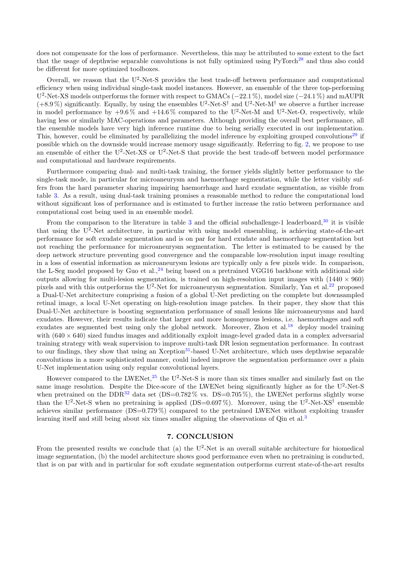does not compensate for the loss of performance. Nevertheless, this may be attributed to some extent to the fact that the usage of depthwise separable convolutions is not fully optimized using PyTorch<sup>[28](#page-9-14)</sup> and thus also could be different for more optimized toolboxes.

Overall, we reason that the  $U^2$ -Net-S provides the best trade-off between performance and computational efficiency when using individual single-task model instances. However, an ensemble of the three top-performing U<sup>2</sup>-Net-XS models outperforms the former with respect to GMACs (−22.1%), model size (−24.1%) and mAUPR  $(+8.9\%)$  significantly. Equally, by using the ensembles U<sup>2</sup>-Net-S<sup>†</sup> and U<sup>2</sup>-Net-M<sup>†</sup> we observe a further increase in model performance by  $+9.6\%$  and  $+14.6\%$  compared to the U<sup>2</sup>-Net-M and U<sup>2</sup>-Net-O, respectively, while having less or similarly MAC-operations and parameters. Although providing the overall best performance, all the ensemble models have very high inference runtime due to being serially executed in our implementation. This, however, could be eliminated by parallelizing the model inference by exploiting grouped convolutions<sup>[29](#page-9-15)</sup> if possible which on the downside would increase memory usage significantly. Referring to fig. [2,](#page-5-1) we propose to use an ensemble of either the U<sup>2</sup>-Net-XS or U<sup>2</sup>-Net-S that provide the best trade-off between model performance and computational and hardware requirements.

Furthermore comparing dual- and multi-task training, the former yields slightly better performance to the single-task mode, in particular for microaneurysm and haemorrhage segmentation, while the letter visibly suffers from the hard parameter sharing impairing haemorrhage and hard exudate segmentation, as visible from table [3.](#page-6-0) As a result, using dual-task training promises a reasonable method to reduce the computational load without significant loss of performance and is estimated to further increase the ratio between performance and computational cost being used in an ensemble model.

From the comparison to the literature in table [3](#page-6-0) and the official subchallenge-1 leaderboard,  $30$  it is visible that using the U<sup>2</sup>-Net architecture, in particular with using model ensembling, is achieving state-of-the-art performance for soft exudate segmentation and is on par for hard exudate and haemorrhage segmentation but not reaching the performance for microaneurysm segmentation. The letter is estimated to be caused by the deep network structure preventing good convergence and the comparable low-resolution input image resulting in a loss of essential information as microaneurysm lesions are typically only a few pixels wide. In comparison, the L-Seg model proposed by Guo et al.,  $^{24}$  $^{24}$  $^{24}$  being based on a pretrained VGG16 backbone with additional side outputs allowing for multi-lesion segmentation, is trained on high-resolution input images with  $(1440 \times 960)$ pixels and with this outperforms the  $U^2$ -Net for microaneurysm segmentation. Similarly, Yan et al.<sup>[22](#page-9-8)</sup> proposed a Dual-U-Net architecture comprising a fusion of a global U-Net predicting on the complete but downsampled retinal image, a local U-Net operating on high-resolution image patches. In their paper, they show that this Dual-U-Net architecture is boosting segmentation performance of small lesions like microaneurysms and hard exudates. However, their results indicate that larger and more homogenous lesions, i.e. haemorrhages and soft exudates are segmented best using only the global network. Moreover, Zhou et al.<sup>[18](#page-9-13)</sup> deploy model training with  $(640 \times 640)$  sized fundus images and additionally exploit image-level graded data in a complex adversarial training strategy with weak supervision to improve multi-task DR lesion segmentation performance. In contrast to our findings, they show that using an Xception<sup>[31](#page-10-1)</sup>-based U-Net architecture, which uses depthwise separable convolutions in a more sophisticated manner, could indeed improve the segmentation performance over a plain U-Net implementation using only regular convolutional layers.

However compared to the LWENet,<sup>[25](#page-9-10)</sup> the U<sup>2</sup>-Net-S is more than six times smaller and similarly fast on the same image resolution. Despite the Dice-score of the LWENet being significantly higher as for the U<sup>2</sup>-Net-S when pretrained on the DDR<sup>[32](#page-10-2)</sup> data set (DS=0.782\%) vs. DS=0.705\%), the LWENet performs slightly worse than the U<sup>2</sup>-Net-S when no pretraining is applied (DS=0.697%). Moreover, using the U<sup>2</sup>-Net-XS<sup>†</sup> ensemble achieves similar performance (DS=0.779 %) compared to the pretrained LWENet without exploiting transfer learning itself and still being about six times smaller aligning the observations of Qin et al.<sup>[3](#page-8-2)</sup>

# 7. CONCLUSION

From the presented results we conclude that  $(a)$  the U<sup>2</sup>-Net is an overall suitable architecture for biomedical image segmentation, (b) the model architecture shows good performance even when no pretraining is conducted, that is on par with and in particular for soft exudate segmentation outperforms current state-of-the-art results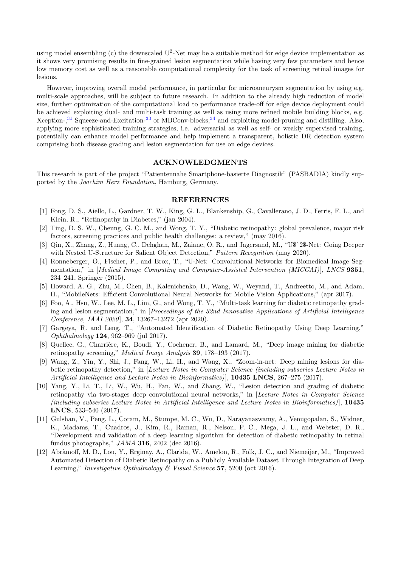using model ensembling (c) the downscaled  $U^2$ -Net may be a suitable method for edge device implementation as it shows very promising results in fine-grained lesion segmentation while having very few parameters and hence low memory cost as well as a reasonable computational complexity for the task of screening retinal images for lesions.

However, improving overall model performance, in particular for microaneurysm segmentation by using e.g. multi-scale approaches, will be subject to future research. In addition to the already high reduction of model size, further optimization of the computational load to performance trade-off for edge device deployment could be achieved exploiting dual- and multi-task training as well as using more refined mobile building blocks, e.g. Xception-,<sup>[31](#page-10-1)</sup> Squeeze-and-Excitation-<sup>[33](#page-10-3)</sup> or MBConv-blocks,<sup>[34](#page-10-4)</sup> and exploiting model-pruning and distilling. Also, applying more sophisticated training strategies, i.e. adversarial as well as self- or weakly supervised training, potentially can enhance model performance and help implement a transparent, holistic DR detection system comprising both disease grading and lesion segmentation for use on edge devices.

#### ACKNOWLEDGMENTS

This research is part of the project "Patientennahe Smartphone-basierte Diagnostik" (PASBADIA) kindly supported by the Joachim Herz Foundation, Hamburg, Germany.

#### REFERENCES

- <span id="page-8-0"></span>[1] Fong, D. S., Aiello, L., Gardner, T. W., King, G. L., Blankenship, G., Cavallerano, J. D., Ferris, F. L., and Klein, R., "Retinopathy in Diabetes," (jan 2004).
- <span id="page-8-1"></span>[2] Ting, D. S. W., Cheung, G. C. M., and Wong, T. Y., "Diabetic retinopathy: global prevalence, major risk factors, screening practices and public health challenges: a review," (may 2016).
- <span id="page-8-2"></span>[3] Qin, X., Zhang, Z., Huang, C., Dehghan, M., Zaiane, O. R., and Jagersand, M., "U\$ˆ2\$-Net: Going Deeper with Nested U-Structure for Salient Object Detection," Pattern Recognition (may 2020).
- <span id="page-8-3"></span>[4] Ronneberger, O., Fischer, P., and Brox, T., "U-Net: Convolutional Networks for Biomedical Image Segmentation," in [Medical Image Computing and Computer-Assisted Intervention (MICCAI)], LNCS 9351. 234–241, Springer (2015).
- <span id="page-8-4"></span>[5] Howard, A. G., Zhu, M., Chen, B., Kalenichenko, D., Wang, W., Weyand, T., Andreetto, M., and Adam, H., "MobileNets: Efficient Convolutional Neural Networks for Mobile Vision Applications," (apr 2017).
- <span id="page-8-5"></span>[6] Foo, A., Hsu, W., Lee, M. L., Lim, G., and Wong, T. Y., "Multi-task learning for diabetic retinopathy grading and lesion segmentation," in [Proceedings of the 32nd Innovative Applications of Artificial Intelligence Conference, IAAI 2020], 34, 13267–13272 (apr 2020).
- <span id="page-8-8"></span>[7] Gargeya, R. and Leng, T., "Automated Identification of Diabetic Retinopathy Using Deep Learning," Ophthalmology 124, 962–969 (jul 2017).
- <span id="page-8-9"></span>[8] Quellec, G., Charrière, K., Boudi, Y., Cochener, B., and Lamard, M., "Deep image mining for diabetic retinopathy screening," Medical Image Analysis 39, 178–193 (2017).
- <span id="page-8-10"></span>[9] Wang, Z., Yin, Y., Shi, J., Fang, W., Li, H., and Wang, X., "Zoom-in-net: Deep mining lesions for diabetic retinopathy detection," in [Lecture Notes in Computer Science (including subseries Lecture Notes in Artificial Intelligence and Lecture Notes in Bioinformatics), 10435 LNCS, 267-275 (2017).
- <span id="page-8-11"></span>[10] Yang, Y., Li, T., Li, W., Wu, H., Fan, W., and Zhang, W., "Lesion detection and grading of diabetic retinopathy via two-stages deep convolutional neural networks," in [Lecture Notes in Computer Science (including subseries Lecture Notes in Artificial Intelligence and Lecture Notes in Bioinformatics) ], 10435 LNCS, 533–540 (2017).
- <span id="page-8-6"></span>[11] Gulshan, V., Peng, L., Coram, M., Stumpe, M. C., Wu, D., Narayanaswamy, A., Venugopalan, S., Widner, K., Madams, T., Cuadros, J., Kim, R., Raman, R., Nelson, P. C., Mega, J. L., and Webster, D. R., "Development and validation of a deep learning algorithm for detection of diabetic retinopathy in retinal fundus photographs," JAMA 316, 2402 (dec 2016).
- <span id="page-8-7"></span>[12] Abràmoff, M. D., Lou, Y., Erginay, A., Clarida, W., Amelon, R., Folk, J. C., and Niemeijer, M., "Improved Automated Detection of Diabetic Retinopathy on a Publicly Available Dataset Through Integration of Deep Learning," Investigative Opthalmology  $\mathcal C$  Visual Science 57, 5200 (oct 2016).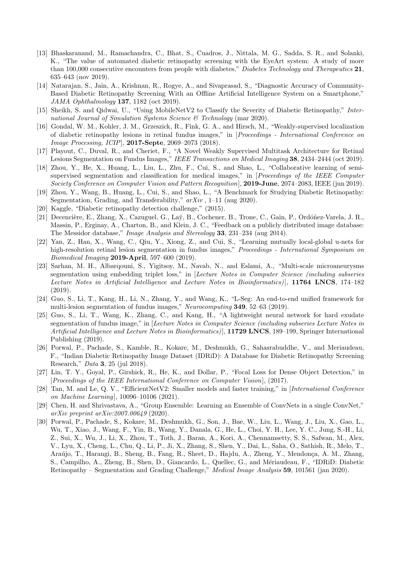- <span id="page-9-0"></span>[13] Bhaskaranand, M., Ramachandra, C., Bhat, S., Cuadros, J., Nittala, M. G., Sadda, S. R., and Solanki, K., "The value of automated diabetic retinopathy screening with the EyeArt system: A study of more than 100,000 consecutive encounters from people with diabetes," Diabetes Technology and Therapeutics 21, 635–643 (nov 2019).
- <span id="page-9-1"></span>[14] Natarajan, S., Jain, A., Krishnan, R., Rogye, A., and Sivaprasad, S., "Diagnostic Accuracy of Community-Based Diabetic Retinopathy Screening With an Offline Artificial Intelligence System on a Smartphone," JAMA Ophthalmology 137, 1182 (oct 2019).
- <span id="page-9-2"></span>[15] Sheikh, S. and Qidwai, U., "Using MobileNetV2 to Classify the Severity of Diabetic Retinopathy," International Journal of Simulation Systems Science & Technology (mar 2020).
- <span id="page-9-3"></span>[16] Gondal, W. M., Kohler, J. M., Grzeszick, R., Fink, G. A., and Hirsch, M., "Weakly-supervised localization of diabetic retinopathy lesions in retinal fundus images," in [Proceedings - International Conference on Image Processing, ICIP], 2017-Septe, 2069–2073 (2018).
- <span id="page-9-4"></span>[17] Playout, C., Duval, R., and Cheriet, F., "A Novel Weakly Supervised Multitask Architecture for Retinal Lesions Segmentation on Fundus Images," IEEE Transactions on Medical Imaging 38, 2434–2444 (oct 2019).
- <span id="page-9-13"></span>[18] Zhou, Y., He, X., Huang, L., Liu, L., Zhu, F., Cui, S., and Shao, L., "Collaborative learning of semisupervised segmentation and classification for medical images," in [*Proceedings of the IEEE Computer* Society Conference on Computer Vision and Pattern Recognition], 2019-June, 2074–2083, IEEE (jun 2019).
- <span id="page-9-5"></span>[19] Zhou, Y., Wang, B., Huang, L., Cui, S., and Shao, L., "A Benchmark for Studying Diabetic Retinopathy: Segmentation, Grading, and Transferability,"  $arXiv$ , 1–11 (aug 2020).
- <span id="page-9-6"></span>[20] Kaggle, "Diabetic retinopathy detection challenge," (2015).
- <span id="page-9-7"></span>[21] Decencière, E., Zhang, X., Cazuguel, G., Laÿ, B., Cochener, B., Trone, C., Gain, P., Ordóñez-Varela, J. R., Massin, P., Erginay, A., Charton, B., and Klein, J. C., "Feedback on a publicly distributed image database: The Messidor database," Image Analysis and Stereology 33, 231–234 (aug 2014).
- <span id="page-9-8"></span>[22] Yan, Z., Han, X., Wang, C., Qiu, Y., Xiong, Z., and Cui, S., "Learning mutually local-global u-nets for high-resolution retinal lesion segmentation in fundus images," Proceedings - International Symposium on Biomedical Imaging 2019-April, 597–600 (2019).
- [23] Sarhan, M. H., Albarqouni, S., Yigitsoy, M., Navab, N., and Eslami, A., "Multi-scale microaneurysms segmentation using embedding triplet loss," in [Lecture Notes in Computer Science (including subseries Lecture Notes in Artificial Intelligence and Lecture Notes in Bioinformatics), 11764 LNCS, 174-182 (2019).
- <span id="page-9-9"></span>[24] Guo, S., Li, T., Kang, H., Li, N., Zhang, Y., and Wang, K., "L-Seg: An end-to-end unified framework for multi-lesion segmentation of fundus images," Neurocomputing 349, 52–63 (2019).
- <span id="page-9-10"></span>[25] Guo, S., Li, T., Wang, K., Zhang, C., and Kang, H., "A lightweight neural network for hard exudate segmentation of fundus image," in [Lecture Notes in Computer Science (including subseries Lecture Notes in Artificial Intelligence and Lecture Notes in Bioinformatics), 11729 LNCS, 189–199, Springer International Publishing (2019).
- <span id="page-9-11"></span>[26] Porwal, P., Pachade, S., Kamble, R., Kokare, M., Deshmukh, G., Sahasrabuddhe, V., and Meriaudeau, F., "Indian Diabetic Retinopathy Image Dataset (IDRiD): A Database for Diabetic Retinopathy Screening Research," Data 3, 25 (jul 2018).
- <span id="page-9-12"></span>[27] Lin, T. Y., Goyal, P., Girshick, R., He, K., and Dollar, P., "Focal Loss for Dense Object Detection," in [Proceedings of the IEEE International Conference on Computer Vision], (2017).
- <span id="page-9-14"></span>[28] Tan, M. and Le, Q. V., "EfficientNetV2: Smaller models and faster training," in [International Conference on Machine Learning], 10096–10106 (2021).
- <span id="page-9-15"></span>[29] Chen, H. and Shrivastava, A., "Group Ensemble: Learning an Ensemble of ConvNets in a single ConvNet," arXiv preprint arXiv:2007.00649 (2020).
- <span id="page-9-16"></span>[30] Porwal, P., Pachade, S., Kokare, M., Deshmukh, G., Son, J., Bae, W., Liu, L., Wang, J., Liu, X., Gao, L., Wu, T., Xiao, J., Wang, F., Yin, B., Wang, Y., Danala, G., He, L., Choi, Y. H., Lee, Y. C., Jung, S.-H., Li, Z., Sui, X., Wu, J., Li, X., Zhou, T., Toth, J., Baran, A., Kori, A., Chennamsetty, S. S., Safwan, M., Alex, V., Lyu, X., Cheng, L., Chu, Q., Li, P., Ji, X., Zhang, S., Shen, Y., Dai, L., Saha, O., Sathish, R., Melo, T., Araújo, T., Harangi, B., Sheng, B., Fang, R., Sheet, D., Hajdu, A., Zheng, Y., Mendonça, A. M., Zhang, S., Campilho, A., Zheng, B., Shen, D., Giancardo, L., Quellec, G., and Mériaudeau, F., "IDRiD: Diabetic Retinopathy – Segmentation and Grading Challenge," Medical Image Analysis 59, 101561 (jan 2020).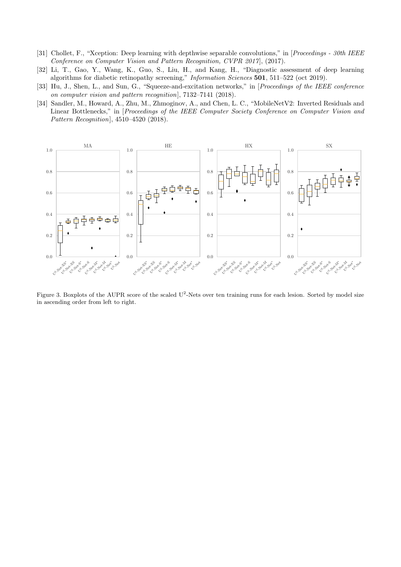- <span id="page-10-1"></span>[31] Chollet, F., "Xception: Deep learning with depthwise separable convolutions," in [Proceedings - 30th IEEE Conference on Computer Vision and Pattern Recognition, CVPR 2017], (2017).
- <span id="page-10-2"></span>[32] Li, T., Gao, Y., Wang, K., Guo, S., Liu, H., and Kang, H., "Diagnostic assessment of deep learning algorithms for diabetic retinopathy screening," Information Sciences 501, 511–522 (oct 2019).
- <span id="page-10-3"></span>[33] Hu, J., Shen, L., and Sun, G., "Squeeze-and-excitation networks," in [Proceedings of the IEEE conference on computer vision and pattern recognition], 7132–7141 (2018).
- <span id="page-10-4"></span>[34] Sandler, M., Howard, A., Zhu, M., Zhmoginov, A., and Chen, L. C., "MobileNetV2: Inverted Residuals and Linear Bottlenecks," in [*Proceedings of the IEEE Computer Society Conference on Computer Vision and* Pattern Recognition], 4510–4520 (2018).



<span id="page-10-0"></span>Figure 3. Boxplots of the AUPR score of the scaled U<sup>2</sup>-Nets over ten training runs for each lesion. Sorted by model size in ascending order from left to right.